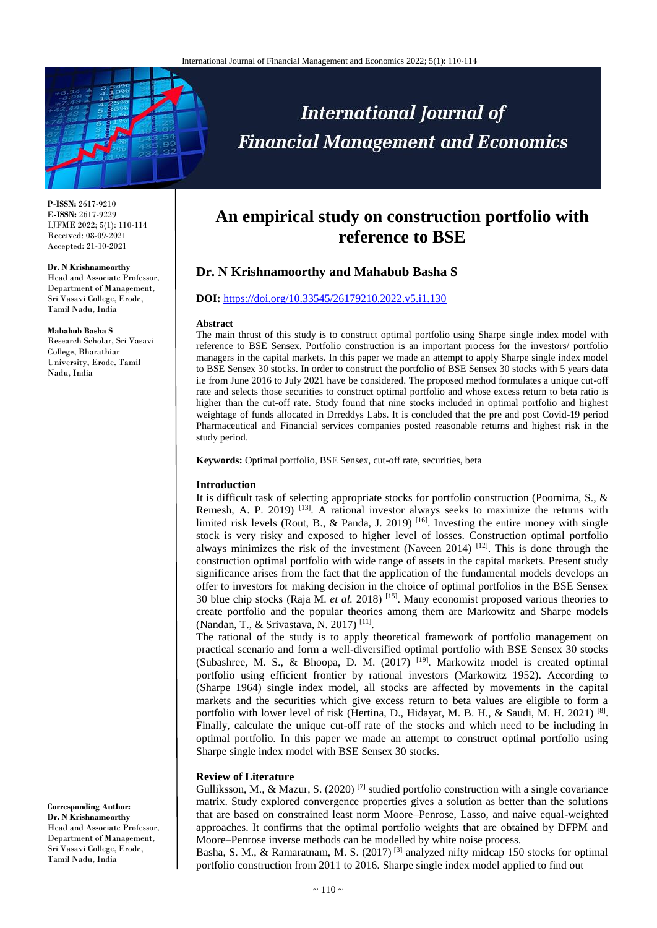

**P-ISSN:** 2617-9210 **E-ISSN:** 2617-9229 IJFME 2022; 5(1): 110-114 Received: 08-09-2021 Accepted: 21-10-2021

#### **Dr. N Krishnamoorthy**

Head and Associate Professor, Department of Management, Sri Vasavi College, Erode, Tamil Nadu, India

#### **Mahabub Basha S**

Research Scholar, Sri Vasavi College, Bharathiar University, Erode, Tamil Nadu, India

**Corresponding Author: Dr. N Krishnamoorthy** 

Head and Associate Professor, Department of Management, Sri Vasavi College, Erode, Tamil Nadu, India

# **An empirical study on construction portfolio with reference to BSE**

**International Journal of** 

**Financial Management and Economics** 

# **Dr. N Krishnamoorthy and Mahabub Basha S**

#### **DOI:** <https://doi.org/10.33545/26179210.2022.v5.i1.130>

#### **Abstract**

The main thrust of this study is to construct optimal portfolio using Sharpe single index model with reference to BSE Sensex. Portfolio construction is an important process for the investors/ portfolio managers in the capital markets. In this paper we made an attempt to apply Sharpe single index model to BSE Sensex 30 stocks. In order to construct the portfolio of BSE Sensex 30 stocks with 5 years data i.e from June 2016 to July 2021 have be considered. The proposed method formulates a unique cut-off rate and selects those securities to construct optimal portfolio and whose excess return to beta ratio is higher than the cut-off rate. Study found that nine stocks included in optimal portfolio and highest weightage of funds allocated in Drreddys Labs. It is concluded that the pre and post Covid-19 period Pharmaceutical and Financial services companies posted reasonable returns and highest risk in the study period.

**Keywords:** Optimal portfolio, BSE Sensex, cut-off rate, securities, beta

#### **Introduction**

It is difficult task of selecting appropriate stocks for portfolio construction (Poornima, S., & Remesh, A. P. 2019)<sup>[13]</sup>. A rational investor always seeks to maximize the returns with limited risk levels (Rout, B., & Panda, J. 2019)<sup>[16]</sup>. Investing the entire money with single stock is very risky and exposed to higher level of losses. Construction optimal portfolio always minimizes the risk of the investment (Naveen 2014)  $[12]$ . This is done through the construction optimal portfolio with wide range of assets in the capital markets. Present study significance arises from the fact that the application of the fundamental models develops an offer to investors for making decision in the choice of optimal portfolios in the BSE Sensex 30 blue chip stocks (Raja M. *et al.* 2018) [15] . Many economist proposed various theories to create portfolio and the popular theories among them are Markowitz and Sharpe models (Nandan, T., & Srivastava, N. 2017)<sup>[11]</sup>.

The rational of the study is to apply theoretical framework of portfolio management on practical scenario and form a well-diversified optimal portfolio with BSE Sensex 30 stocks (Subashree, M. S., & Bhoopa, D. M. (2017) [19] . Markowitz model is created optimal portfolio using efficient frontier by rational investors (Markowitz 1952). According to (Sharpe 1964) single index model, all stocks are affected by movements in the capital markets and the securities which give excess return to beta values are eligible to form a portfolio with lower level of risk (Hertina, D., Hidayat, M. B. H., & Saudi, M. H. 2021)<sup>[8]</sup>. Finally, calculate the unique cut-off rate of the stocks and which need to be including in optimal portfolio. In this paper we made an attempt to construct optimal portfolio using Sharpe single index model with BSE Sensex 30 stocks.

# **Review of Literature**

Gulliksson, M., & Mazur, S. (2020)<sup>[7]</sup> studied portfolio construction with a single covariance matrix. Study explored convergence properties gives a solution as better than the solutions that are based on constrained least norm Moore–Penrose, Lasso, and naive equal-weighted approaches. It confirms that the optimal portfolio weights that are obtained by DFPM and Moore–Penrose inverse methods can be modelled by white noise process.

Basha, S. M., & Ramaratnam, M. S. (2017)<sup>[3]</sup> analyzed nifty midcap 150 stocks for optimal portfolio construction from 2011 to 2016. Sharpe single index model applied to find out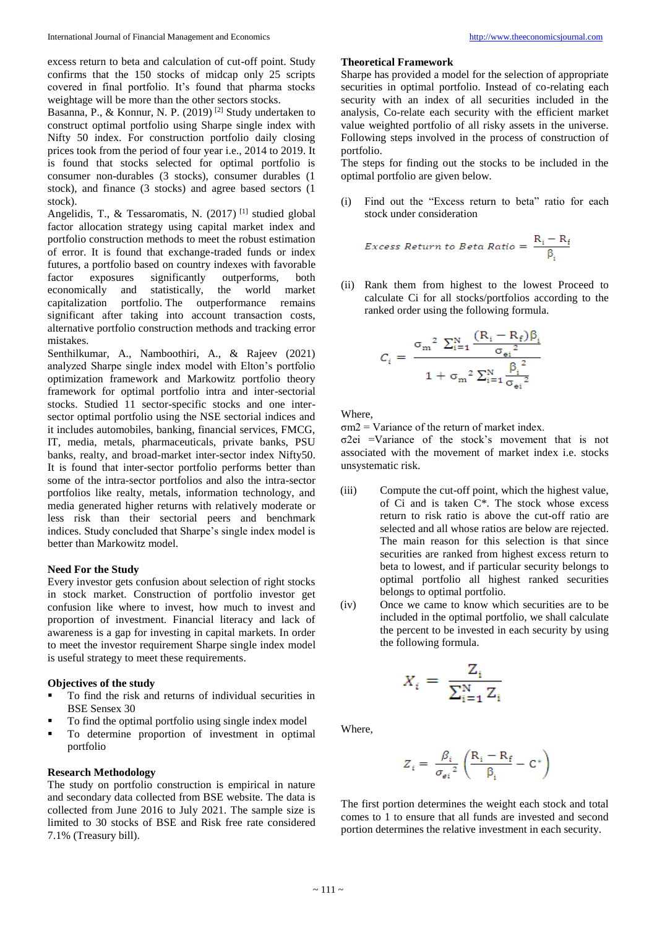excess return to beta and calculation of cut-off point. Study confirms that the 150 stocks of midcap only 25 scripts covered in final portfolio. It's found that pharma stocks weightage will be more than the other sectors stocks.

Basanna, P., & Konnur, N. P. (2019) [2] Study undertaken to construct optimal portfolio using Sharpe single index with Nifty 50 index. For construction portfolio daily closing prices took from the period of four year i.e., 2014 to 2019. It is found that stocks selected for optimal portfolio is consumer non-durables (3 stocks), consumer durables (1 stock), and finance (3 stocks) and agree based sectors (1 stock).

Angelidis, T., & Tessaromatis, N. (2017)<sup>[1]</sup> studied global factor allocation strategy using capital market index and portfolio construction methods to meet the robust estimation of error. It is found that exchange-traded funds or index futures, a portfolio based on country indexes with favorable factor exposures significantly outperforms, both economically and statistically, the world market capitalization portfolio. The outperformance remains significant after taking into account transaction costs, alternative portfolio construction methods and tracking error mistakes.

Senthilkumar, A., Namboothiri, A., & Rajeev (2021) analyzed Sharpe single index model with Elton's portfolio optimization framework and Markowitz portfolio theory framework for optimal portfolio intra and inter-sectorial stocks. Studied 11 sector-specific stocks and one intersector optimal portfolio using the NSE sectorial indices and it includes automobiles, banking, financial services, FMCG, IT, media, metals, pharmaceuticals, private banks, PSU banks, realty, and broad-market inter-sector index Nifty50. It is found that inter-sector portfolio performs better than some of the intra-sector portfolios and also the intra-sector portfolios like realty, metals, information technology, and media generated higher returns with relatively moderate or less risk than their sectorial peers and benchmark indices. Study concluded that Sharpe's single index model is better than Markowitz model.

#### **Need For the Study**

Every investor gets confusion about selection of right stocks in stock market. Construction of portfolio investor get confusion like where to invest, how much to invest and proportion of investment. Financial literacy and lack of awareness is a gap for investing in capital markets. In order to meet the investor requirement Sharpe single index model is useful strategy to meet these requirements.

#### **Objectives of the study**

- To find the risk and returns of individual securities in BSE Sensex 30
- To find the optimal portfolio using single index model
- To determine proportion of investment in optimal portfolio

#### **Research Methodology**

The study on portfolio construction is empirical in nature and secondary data collected from BSE website. The data is collected from June 2016 to July 2021. The sample size is limited to 30 stocks of BSE and Risk free rate considered 7.1% (Treasury bill).

## **Theoretical Framework**

Sharpe has provided a model for the selection of appropriate securities in optimal portfolio. Instead of co-relating each security with an index of all securities included in the analysis, Co-relate each security with the efficient market value weighted portfolio of all risky assets in the universe. Following steps involved in the process of construction of portfolio.

The steps for finding out the stocks to be included in the optimal portfolio are given below.

(i) Find out the "Excess return to beta" ratio for each stock under consideration

Excess Return to Beta Ratio = 
$$
\frac{R_i - R_f}{\beta_i}
$$

(ii) Rank them from highest to the lowest Proceed to calculate Ci for all stocks/portfolios according to the ranked order using the following formula.

$$
C_{i} = \frac{\sigma_{\rm m}^{2} \sum_{i=1}^{N} \frac{(R_{i} - R_{f})\beta_{i}}{\sigma_{\rm ei}^{2}}}{1 + \sigma_{\rm m}^{2} \sum_{i=1}^{N} \frac{\beta_{i}^{2}}{\sigma_{\rm ei}^{2}}}
$$

**Where** 

 $\sigma$ m2 = Variance of the return of market index.

σ2ei =Variance of the stock's movement that is not associated with the movement of market index i.e. stocks unsystematic risk.

- (iii) Compute the cut-off point, which the highest value, of Ci and is taken C\*. The stock whose excess return to risk ratio is above the cut-off ratio are selected and all whose ratios are below are rejected. The main reason for this selection is that since securities are ranked from highest excess return to beta to lowest, and if particular security belongs to optimal portfolio all highest ranked securities belongs to optimal portfolio.
- (iv) Once we came to know which securities are to be included in the optimal portfolio, we shall calculate the percent to be invested in each security by using the following formula.

$$
X_i = \frac{Z_i}{\sum_{i=1}^{N} Z_i}
$$

Where,

$$
\boldsymbol{Z}_{i}=\left. \frac{\beta_{i}}{\sigma_{\mathrm{e}i}{}^{2}}\left( \frac{\mathbf{R}_{i}-\mathbf{R}_{\mathrm{f}}}{\beta_{i}}-\mathbf{C}^{*}\right)\right.
$$

The first portion determines the weight each stock and total comes to 1 to ensure that all funds are invested and second portion determines the relative investment in each security.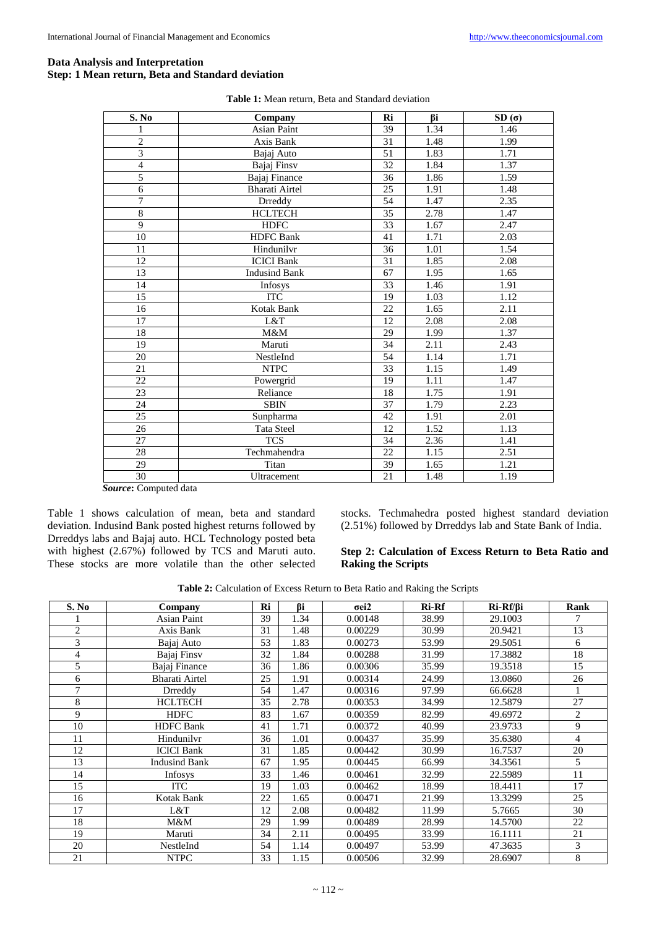# **Data Analysis and Interpretation Step: 1 Mean return, Beta and Standard deviation**

| S. No           | Company               | Ri              | Bi   | SD(σ) |
|-----------------|-----------------------|-----------------|------|-------|
|                 | <b>Asian Paint</b>    | 39              | 1.34 | 1.46  |
| $\overline{c}$  | Axis Bank             | 31              | 1.48 | 1.99  |
| $\overline{3}$  | Bajaj Auto            | 51              | 1.83 | 1.71  |
| $\overline{4}$  | Bajaj Finsv           | 32              | 1.84 | 1.37  |
| 5               | Bajaj Finance         | 36              | 1.86 | 1.59  |
| 6               | <b>Bharati Airtel</b> | $\overline{25}$ | 1.91 | 1.48  |
| $\overline{7}$  | <b>Drreddy</b>        | 54              | 1.47 | 2.35  |
| 8               | <b>HCLTECH</b>        | 35              | 2.78 | 1.47  |
| $\overline{9}$  | <b>HDFC</b>           | 33              | 1.67 | 2.47  |
| 10              | <b>HDFC</b> Bank      | 41              | 1.71 | 2.03  |
| 11              | Hindunilvr            | 36              | 1.01 | 1.54  |
| 12              | <b>ICICI</b> Bank     | 31              | 1.85 | 2.08  |
| 13              | <b>Indusind Bank</b>  | 67              | 1.95 | 1.65  |
| 14              | Infosys               | 33              | 1.46 | 1.91  |
| 15              | <b>ITC</b>            | 19              | 1.03 | 1.12  |
| 16              | <b>Kotak Bank</b>     | 22              | 1.65 | 2.11  |
| 17              | L&T                   | 12              | 2.08 | 2.08  |
| 18              | M&M                   | 29              | 1.99 | 1.37  |
| 19              | Maruti                | 34              | 2.11 | 2.43  |
| 20              | NestleInd             | 54              | 1.14 | 1.71  |
| 21              | <b>NTPC</b>           | 33              | 1.15 | 1.49  |
| $\overline{22}$ | Powergrid             | 19              | 1.11 | 1.47  |
| 23              | Reliance              | 18              | 1.75 | 1.91  |
| $\overline{24}$ | <b>SBIN</b>           | $\overline{37}$ | 1.79 | 2.23  |
| 25              | Sunpharma             | 42              | 1.91 | 2.01  |
| 26              | <b>Tata Steel</b>     | 12              | 1.52 | 1.13  |
| 27              | <b>TCS</b>            | 34              | 2.36 | 1.41  |
| 28              | Techmahendra          | 22              | 1.15 | 2.51  |
| 29              | Titan                 | 39              | 1.65 | 1.21  |
| 30              | Ultracement           | 21              | 1.48 | 1.19  |

| <b>Table 1:</b> Mean return, Beta and Standard deviation |  |  |  |
|----------------------------------------------------------|--|--|--|
|----------------------------------------------------------|--|--|--|

*Source***:** Computed data

Table 1 shows calculation of mean, beta and standard deviation. Indusind Bank posted highest returns followed by Drreddys labs and Bajaj auto. HCL Technology posted beta with highest (2.67%) followed by TCS and Maruti auto. These stocks are more volatile than the other selected stocks. Techmahedra posted highest standard deviation (2.51%) followed by Drreddys lab and State Bank of India.

# **Step 2: Calculation of Excess Return to Beta Ratio and Raking the Scripts**

**Table 2:** Calculation of Excess Return to Beta Ratio and Raking the Scripts

| S. No | Company               | Ri | <b>Bi</b> | $\sigma$ ei2 | <b>Ri-Rf</b> | $Ri-Rf/\beta i$ | Rank           |
|-------|-----------------------|----|-----------|--------------|--------------|-----------------|----------------|
|       | <b>Asian Paint</b>    | 39 | 1.34      | 0.00148      | 38.99        | 29.1003         |                |
| 2     | Axis Bank             | 31 | 1.48      | 0.00229      | 30.99        | 20.9421         | 13             |
| 3     | Bajaj Auto            | 53 | 1.83      | 0.00273      | 53.99        | 29.5051         | 6              |
| 4     | Bajaj Finsy           | 32 | 1.84      | 0.00288      | 31.99        | 17.3882         | 18             |
| 5     | Bajaj Finance         | 36 | 1.86      | 0.00306      | 35.99        | 19.3518         | 15             |
| 6     | <b>Bharati Airtel</b> | 25 | 1.91      | 0.00314      | 24.99        | 13.0860         | 26             |
| 7     | Drreddy               | 54 | 1.47      | 0.00316      | 97.99        | 66.6628         |                |
| 8     | <b>HCLTECH</b>        | 35 | 2.78      | 0.00353      | 34.99        | 12.5879         | 27             |
| 9     | <b>HDFC</b>           | 83 | 1.67      | 0.00359      | 82.99        | 49.6972         | 2              |
| 10    | <b>HDFC</b> Bank      | 41 | 1.71      | 0.00372      | 40.99        | 23.9733         | 9              |
| 11    | Hindunilyr            | 36 | 1.01      | 0.00437      | 35.99        | 35.6380         | $\overline{4}$ |
| 12    | <b>ICICI Bank</b>     | 31 | 1.85      | 0.00442      | 30.99        | 16.7537         | 20             |
| 13    | <b>Indusind Bank</b>  | 67 | 1.95      | 0.00445      | 66.99        | 34.3561         | 5              |
| 14    | Infosys               | 33 | 1.46      | 0.00461      | 32.99        | 22.5989         | 11             |
| 15    | <b>ITC</b>            | 19 | 1.03      | 0.00462      | 18.99        | 18.4411         | 17             |
| 16    | <b>Kotak Bank</b>     | 22 | 1.65      | 0.00471      | 21.99        | 13.3299         | 25             |
| 17    | L&T                   | 12 | 2.08      | 0.00482      | 11.99        | 5.7665          | 30             |
| 18    | M&M                   | 29 | 1.99      | 0.00489      | 28.99        | 14.5700         | 22             |
| 19    | Maruti                | 34 | 2.11      | 0.00495      | 33.99        | 16.1111         | 21             |
| 20    | NestleInd             | 54 | 1.14      | 0.00497      | 53.99        | 47.3635         | 3              |
| 21    | <b>NTPC</b>           | 33 | 1.15      | 0.00506      | 32.99        | 28.6907         | 8              |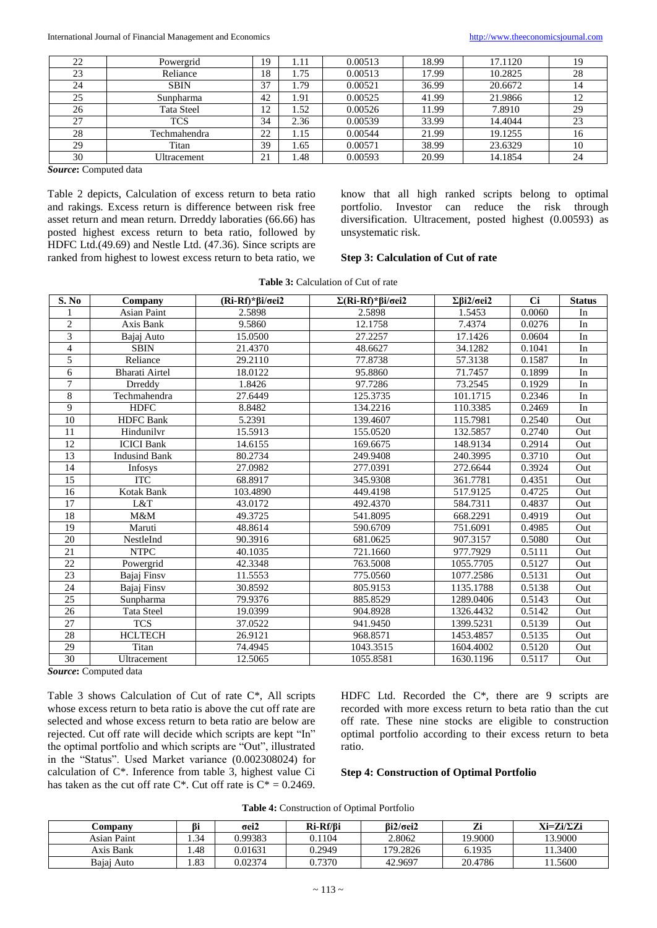| 22 | Powergrid    | 19 | 1.11   | 0.00513 | 18.99 | 17.1120 | 19 |
|----|--------------|----|--------|---------|-------|---------|----|
| 23 | Reliance     | 18 | l.75   | 0.00513 | 17.99 | 10.2825 | 28 |
| 24 | <b>SBIN</b>  | 37 | .79    | 0.00521 | 36.99 | 20.6672 |    |
| 25 | Sunpharma    | 42 | 1.91   | 0.00525 | 41.99 | 21.9866 |    |
| 26 | Tata Steel   | 12 | . . 52 | 0.00526 | 11.99 | 7.8910  | 29 |
| 27 | <b>TCS</b>   | 34 | 2.36   | 0.00539 | 33.99 | 14.4044 | 23 |
| 28 | Techmahendra | 22 | 1.15   | 0.00544 | 21.99 | 19.1255 | 16 |
| 29 | Titan        | 39 | 1.65   | 0.00571 | 38.99 | 23.6329 | 10 |
| 30 | Ultracement  | 21 | 1.48   | 0.00593 | 20.99 | 14.1854 | 24 |

*Source***:** Computed data

Table 2 depicts, Calculation of excess return to beta ratio and rakings. Excess return is difference between risk free asset return and mean return. Drreddy laboraties (66.66) has posted highest excess return to beta ratio, followed by HDFC Ltd.(49.69) and Nestle Ltd. (47.36). Since scripts are ranked from highest to lowest excess return to beta ratio, we

know that all high ranked scripts belong to optimal portfolio. Investor can reduce the risk through diversification. Ultracement, posted highest (0.00593) as unsystematic risk.

#### **Step 3: Calculation of Cut of rate**

| <b>Table 3:</b> Calculation of Cut of rate |  |
|--------------------------------------------|--|
|--------------------------------------------|--|

| S. No           | Company               | $(Ri-Rf)*\beta i/\sigma$ ei2 | $\Sigma(Ri-Rf)*\beta i/\sigma$ ei2 | $\Sigma \beta i2/\sigma e i2$ | <b>Ci</b> | <b>Status</b> |
|-----------------|-----------------------|------------------------------|------------------------------------|-------------------------------|-----------|---------------|
|                 | <b>Asian Paint</b>    | 2.5898                       | 2.5898                             | 1.5453                        | 0.0060    | In            |
| $\overline{2}$  | Axis Bank             | 9.5860                       | 12.1758                            | 7.4374                        | 0.0276    | In            |
| 3               | Bajaj Auto            | 15.0500                      | 27.2257                            | 17.1426                       | 0.0604    | In            |
| $\overline{4}$  | <b>SBIN</b>           | 21.4370                      | 48.6627                            | 34.1282                       | 0.1041    | In            |
| 5               | Reliance              | 29.2110                      | 77.8738                            | 57.3138                       | 0.1587    | In            |
| 6               | <b>Bharati Airtel</b> | 18.0122                      | 95.8860                            | 71.7457                       | 0.1899    | In            |
| $\overline{7}$  | Drreddy               | 1.8426                       | 97.7286                            | 73.2545                       | 0.1929    | In            |
| 8               | Techmahendra          | 27.6449                      | 125.3735                           | 101.1715                      | 0.2346    | In            |
| 9               | <b>HDFC</b>           | 8.8482                       | 134.2216                           | 110.3385                      | 0.2469    | In            |
| 10              | <b>HDFC</b> Bank      | 5.2391                       | 139.4607                           | 115.7981                      | 0.2540    | Out           |
| 11              | Hindunilyr            | 15.5913                      | 155.0520                           | 132.5857                      | 0.2740    | Out           |
| 12              | <b>ICICI</b> Bank     | 14.6155                      | 169.6675                           | 148.9134                      | 0.2914    | Out           |
| 13              | <b>Indusind Bank</b>  | 80.2734                      | 249.9408                           | 240.3995                      | 0.3710    | Out           |
| 14              | Infosys               | 27.0982                      | 277.0391                           | 272.6644                      | 0.3924    | Out           |
| 15              | <b>ITC</b>            | 68.8917                      | 345.9308                           | 361.7781                      | 0.4351    | Out           |
| 16              | Kotak Bank            | 103.4890                     | 449.4198                           | 517.9125                      | 0.4725    | Out           |
| 17              | L&T                   | 43.0172                      | 492.4370                           | 584.7311                      | 0.4837    | Out           |
| 18              | M&M                   | 49.3725                      | 541.8095                           | 668.2291                      | 0.4919    | Out           |
| 19              | Maruti                | 48.8614                      | 590.6709                           | 751.6091                      | 0.4985    | Out           |
| $\overline{20}$ | NestleInd             | 90.3916                      | 681.0625                           | 907.3157                      | 0.5080    | Out           |
| 21              | <b>NTPC</b>           | 40.1035                      | 721.1660                           | 977.7929                      | 0.5111    | Out           |
| 22              | Powergrid             | 42.3348                      | 763.5008                           | 1055.7705                     | 0.5127    | Out           |
| 23              | Bajaj Finsv           | 11.5553                      | 775.0560                           | 1077.2586                     | 0.5131    | Out           |
| 24              | Bajaj Finsv           | 30.8592                      | 805.9153                           | 1135.1788                     | 0.5138    | Out           |
| 25              | Sunpharma             | 79.9376                      | 885.8529                           | 1289.0406                     | 0.5143    | Out           |
| 26              | <b>Tata Steel</b>     | 19.0399                      | 904.8928                           | 1326.4432                     | 0.5142    | Out           |
| 27              | <b>TCS</b>            | 37.0522                      | 941.9450                           | 1399.5231                     | 0.5139    | Out           |
| 28              | <b>HCLTECH</b>        | 26.9121                      | 968.8571                           | 1453.4857                     | 0.5135    | Out           |
| 29              | Titan                 | 74.4945                      | 1043.3515                          | 1604.4002                     | 0.5120    | Out           |
| 30              | Ultracement           | 12.5065                      | 1055.8581                          | 1630.1196                     | 0.5117    | Out           |

*Source***:** Computed data

Table 3 shows Calculation of Cut of rate C\*, All scripts whose excess return to beta ratio is above the cut off rate are selected and whose excess return to beta ratio are below are rejected. Cut off rate will decide which scripts are kept "In" the optimal portfolio and which scripts are "Out", illustrated in the "Status". Used Market variance (0.002308024) for calculation of C\*. Inference from table 3, highest value Ci has taken as the cut off rate  $C^*$ . Cut off rate is  $C^* = 0.2469$ .

HDFC Ltd. Recorded the C<sup>\*</sup>, there are 9 scripts are recorded with more excess return to beta ratio than the cut off rate. These nine stocks are eligible to construction optimal portfolio according to their excess return to beta ratio.

#### **Step 4: Construction of Optimal Portfolio**

|  | <b>Table 4:</b> Construction of Optimal Portfolio |  |  |
|--|---------------------------------------------------|--|--|
|--|---------------------------------------------------|--|--|

| <b>Company</b> | ßi  | $\sigma$ ei2 | Ri-Rf/Bi | $Bi2/\sigma$ ei2 | $\overline{ }$<br>71 | $Xi=Zi/\Sigma Zi$ |
|----------------|-----|--------------|----------|------------------|----------------------|-------------------|
| Asian Paint    | .34 | 0.99383      | 0.1104   | 2.8062           | 19.9000              | 13.9000           |
| Axis Bank      | .48 | 0.01631      | 0.2949   | 179.2826         | 6.1935               | 1.3400            |
| Bajaj Auto     | .83 | 0.02374      | 0.7370   | 42.9697          | 20.4786              | 1.5600            |